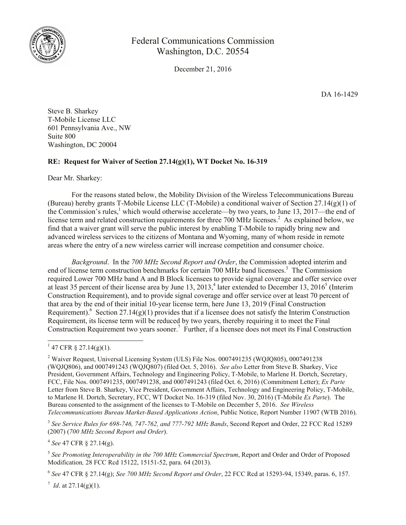

## Federal Communications Commission Washington, D.C. 20554

December 21, 2016

DA 16-1429

Steve B. Sharkey T-Mobile License LLC 601 Pennsylvania Ave., NW Suite 800 Washington, DC 20004

## **RE: Request for Waiver of Section 27.14(g)(1), WT Docket No. 16-319**

Dear Mr. Sharkey:

For the reasons stated below, the Mobility Division of the Wireless Telecommunications Bureau (Bureau) hereby grants T-Mobile License LLC (T-Mobile) a conditional waiver of Section 27.14(g)(1) of the Commission's rules,<sup>1</sup> which would otherwise accelerate—by two years, to June 13, 2017—the end of license term and related construction requirements for three 700 MHz licenses.<sup>2</sup> As explained below, we find that a waiver grant will serve the public interest by enabling T-Mobile to rapidly bring new and advanced wireless services to the citizens of Montana and Wyoming, many of whom reside in remote areas where the entry of a new wireless carrier will increase competition and consumer choice.

*Background*. In the *700 MHz Second Report and Order*, the Commission adopted interim and end of license term construction benchmarks for certain 700 MHz band licensees.<sup>3</sup> The Commission required Lower 700 MHz band A and B Block licensees to provide signal coverage and offer service over at least 35 percent of their license area by June 13, 2013,<sup>4</sup> later extended to December 13, 2016<sup>5</sup> (Interim Construction Requirement), and to provide signal coverage and offer service over at least 70 percent of that area by the end of their initial 10-year license term, here June 13, 2019 (Final Construction Requirement).<sup>6</sup> Section 27.14(g)(1) provides that if a licensee does not satisfy the Interim Construction Requirement, its license term will be reduced by two years, thereby requiring it to meet the Final Construction Requirement two years sooner.<sup>7</sup> Further, if a licensee does not meet its Final Construction

<sup>3</sup> See Service Rules for 698-746, 747-762, and 777-792 MHz Bands, Second Report and Order, 22 FCC Rcd 15289 (2007) (*700 MHz Second Report and Order*).

4 *See* 47 CFR § 27.14(g).

 $^7$  *Id.* at 27.14(g)(1).

 $1\overline{47}$  CFR § 27.14(g)(1).

<sup>&</sup>lt;sup>2</sup> Waiver Request, Universal Licensing System (ULS) File Nos. 0007491235 (WQJQ805), 0007491238 (WQJQ806), and 0007491243 (WQJQ807) (filed Oct. 5, 2016). *See also* Letter from Steve B. Sharkey, Vice President, Government Affairs, Technology and Engineering Policy, T-Mobile, to Marlene H. Dortch, Secretary, FCC, File Nos. 0007491235, 0007491238, and 0007491243 (filed Oct. 6, 2016) (Commitment Letter); *Ex Parte* Letter from Steve B. Sharkey, Vice President, Government Affairs, Technology and Engineering Policy, T-Mobile, to Marlene H. Dortch, Secretary, FCC, WT Docket No. 16-319 (filed Nov. 30, 2016) (T-Mobile *Ex Parte*). The Bureau consented to the assignment of the licenses to T-Mobile on December 5, 2016. *See Wireless Telecommunications Bureau Market-Based Applications Action*, Public Notice, Report Number 11907 (WTB 2016).

<sup>5</sup> *See Promoting Interoperability in the 700 MHz Commercial Spectrum*, Report and Order and Order of Proposed Modification*,* 28 FCC Rcd 15122, 15151-52, para. 64 (2013).

<sup>6</sup> *See* 47 CFR § 27.14(g); *See 700 MHz Second Report and Order*, 22 FCC Rcd at 15293-94, 15349, paras. 6, 157.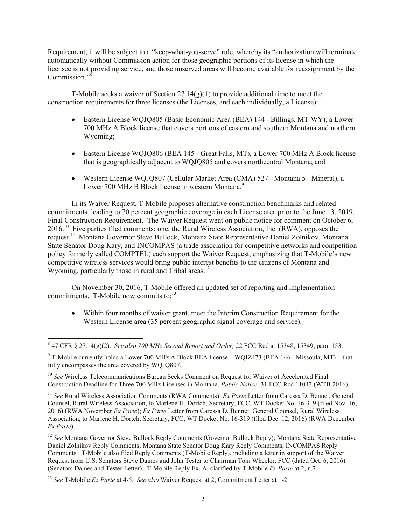Requirement, it will be subject to a "keep-what-you-serve" rule, whereby its "authorization will terminate automatically without Commission action for those geographic portions of its license in which the licensee is not providing service, and those unserved areas will become available for reassignment by the Commission."<sup>8</sup>

T-Mobile seeks a waiver of Section 27.14(g)(1) to provide additional time to meet the construction requirements for three licenses (the Licenses, and each individually, a License):

- Eastern License WQJQ805 (Basic Economic Area (BEA) 144 Billings, MT-WY), a Lower 700 MHz A Block license that covers portions of eastern and southern Montana and northern Wyoming;
- Eastern License WQJQ806 (BEA 145 Great Falls, MT), a Lower 700 MHz A Block license that is geographically adjacent to WQJQ805 and covers northcentral Montana; and
- Western License WQJQ807 (Cellular Market Area (CMA) 527 Montana 5 Mineral), a Lower 700 MHz B Block license in western Montana.<sup>9</sup>

In its Waiver Request, T-Mobile proposes alternative construction benchmarks and related commitments, leading to 70 percent geographic coverage in each License area prior to the June 13, 2019, Final Construction Requirement. The Waiver Request went on public notice for comment on October 6, 2016.<sup>10</sup> Five parties filed comments; one, the Rural Wireless Association, Inc. (RWA), opposes the request.<sup>11</sup> Montana Governor Steve Bullock, Montana State Representative Daniel Zolnikov, Montana State Senator Doug Kary, and INCOMPAS (a trade association for competitive networks and competition policy formerly called COMPTEL) each support the Waiver Request, emphasizing that T-Mobile's new competitive wireless services would bring public interest benefits to the citizens of Montana and Wyoming, particularly those in rural and Tribal areas.<sup>12</sup>

On November 30, 2016, T-Mobile offered an updated set of reporting and implementation commitments. T-Mobile now commits to:<sup>13</sup>

 Within four months of waiver grant, meet the Interim Construction Requirement for the Western License area (35 percent geographic signal coverage and service).

<sup>10</sup> *See* Wireless Telecommunications Bureau Seeks Comment on Request for Waiver of Accelerated Final Construction Deadline for Three 700 MHz Licenses in Montana, *Public Notice,* 31 FCC Rcd 11043 (WTB 2016).

<sup>11</sup> *See* Rural Wireless Association Comments (RWA Comments); *Ex Parte* Letter from Caressa D. Bennet, General Counsel, Rural Wireless Association, to Marlene H. Dortch, Secretary, FCC, WT Docket No. 16-319 (filed Nov. 16, 2016) (RWA November *Ex Parte*); *Ex Parte* Letter from Caressa D. Bennet, General Counsel, Rural Wireless Association, to Marlene H. Dortch, Secretary, FCC, WT Docket No. 16-319 (filed Dec. 12, 2016) (RWA December *Ex Parte*).

<sup>12</sup> *See* Montana Governor Steve Bullock Reply Comments (Governor Bullock Reply); Montana State Representative Daniel Zolnikov Reply Comments; Montana State Senator Doug Kary Reply Comments; INCOMPAS Reply Comments. T-Mobile also filed Reply Comments (T-Mobile Reply), including a letter in support of the Waiver Request from U.S. Senators Steve Daines and John Tester to Chairman Tom Wheeler, FCC (dated Oct. 6, 2016) (Senators Daines and Tester Letter). T-Mobile Reply Ex. A, clarified by T-Mobile *Ex Parte* at 2, n.7.

<sup>13</sup> *See* T-Mobile *Ex Parte* at 4-5. *See also* Waiver Request at 2; Commitment Letter at 1-2.

 $\overline{a}$ 8 47 CFR § 27.14(g)(2). *See also 700 MHz Second Report and Order,* 22 FCC Rcd at 15348, 15349, para. 153.

<sup>9</sup> T-Mobile currently holds a Lower 700 MHz A Block BEA license – WQIZ473 (BEA 146 - Missoula, MT) – that fully encompasses the area covered by WQJQ807.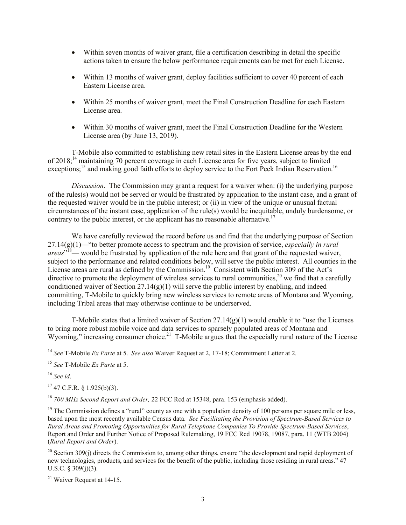- Within seven months of waiver grant, file a certification describing in detail the specific actions taken to ensure the below performance requirements can be met for each License.
- Within 13 months of waiver grant, deploy facilities sufficient to cover 40 percent of each Eastern License area.
- Within 25 months of waiver grant, meet the Final Construction Deadline for each Eastern License area.
- Within 30 months of waiver grant, meet the Final Construction Deadline for the Western License area (by June 13, 2019).

T-Mobile also committed to establishing new retail sites in the Eastern License areas by the end of 2018;<sup>14</sup> maintaining 70 percent coverage in each License area for five years, subject to limited exceptions;<sup>15</sup> and making good faith efforts to deploy service to the Fort Peck Indian Reservation.<sup>16</sup>

*Discussion*. The Commission may grant a request for a waiver when: (i) the underlying purpose of the rules(s) would not be served or would be frustrated by application to the instant case, and a grant of the requested waiver would be in the public interest; or (ii) in view of the unique or unusual factual circumstances of the instant case, application of the rule(s) would be inequitable, unduly burdensome, or contrary to the public interest, or the applicant has no reasonable alternative.<sup>17</sup>

We have carefully reviewed the record before us and find that the underlying purpose of Section 27.14(g)(1)—"to better promote access to spectrum and the provision of service, *especially in rural*  areas<sup>, 18</sup>— would be frustrated by application of the rule here and that grant of the requested waiver, subject to the performance and related conditions below, will serve the public interest. All counties in the License areas are rural as defined by the Commission.<sup>19</sup> Consistent with Section 309 of the Act's directive to promote the deployment of wireless services to rural communities,<sup>20</sup> we find that a carefully conditioned waiver of Section 27.14(g)(1) will serve the public interest by enabling, and indeed committing, T-Mobile to quickly bring new wireless services to remote areas of Montana and Wyoming, including Tribal areas that may otherwise continue to be underserved.

T-Mobile states that a limited waiver of Section  $27.14(g)(1)$  would enable it to "use the Licenses" to bring more robust mobile voice and data services to sparsely populated areas of Montana and Wyoming," increasing consumer choice.<sup>21</sup> T-Mobile argues that the especially rural nature of the License

<sup>16</sup> *See id*.

 $\overline{a}$ 

 $17$  47 C.F.R. § 1.925(b)(3).

<sup>18</sup> *700 MHz Second Report and Order,* 22 FCC Rcd at 15348, para. 153 (emphasis added).

 $19$  The Commission defines a "rural" county as one with a population density of 100 persons per square mile or less, based upon the most recently available Census data. *See Facilitating the Provision of Spectrum-Based Services to Rural Areas and Promoting Opportunities for Rural Telephone Companies To Provide Spectrum-Based Services*, Report and Order and Further Notice of Proposed Rulemaking, 19 FCC Rcd 19078, 19087, para. 11 (WTB 2004) (*Rural Report and Order*).

<sup>20</sup> Section 309(i) directs the Commission to, among other things, ensure "the development and rapid deployment of new technologies, products, and services for the benefit of the public, including those residing in rural areas." 47 U.S.C.  $\S 309(j)(3)$ .

<sup>21</sup> Waiver Request at 14-15.

<sup>14</sup> *See* T-Mobile *Ex Parte* at 5. *See also* Waiver Request at 2, 17-18; Commitment Letter at 2.

<sup>15</sup> *See* T-Mobile *Ex Parte* at 5.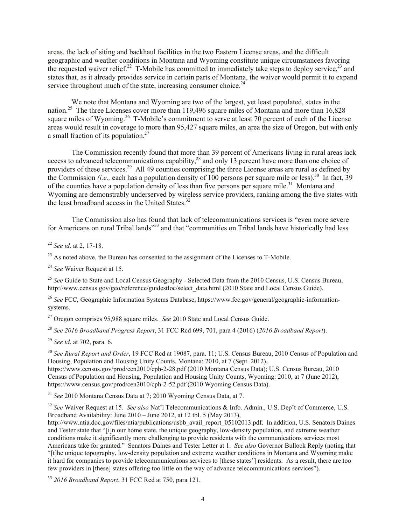areas, the lack of siting and backhaul facilities in the two Eastern License areas, and the difficult geographic and weather conditions in Montana and Wyoming constitute unique circumstances favoring the requested waiver relief.<sup>22</sup> T-Mobile has committed to immediately take steps to deploy service,<sup>23</sup> and states that, as it already provides service in certain parts of Montana, the waiver would permit it to expand service throughout much of the state, increasing consumer choice. $^{24}$ 

We note that Montana and Wyoming are two of the largest, yet least populated, states in the nation.<sup>25</sup> The three Licenses cover more than 119,496 square miles of Montana and more than 16,828 square miles of Wyoming.<sup>26</sup> T-Mobile's commitment to serve at least 70 percent of each of the License areas would result in coverage to more than 95,427 square miles, an area the size of Oregon, but with only a small fraction of its population. $27$ 

The Commission recently found that more than 39 percent of Americans living in rural areas lack access to advanced telecommunications capability, $^{28}$  and only 13 percent have more than one choice of providers of these services.<sup>29</sup> All 49 counties comprising the three License areas are rural as defined by the Commission *(i.e.,* each has a population density of 100 persons per square mile or less).<sup>30</sup> In fact, 39 of the counties have a population density of less than five persons per square mile.<sup>31</sup> Montana and Wyoming are demonstrably underserved by wireless service providers, ranking among the five states with the least broadband access in the United States.<sup>32</sup>

The Commission also has found that lack of telecommunications services is "even more severe for Americans on rural Tribal lands<sup>333</sup> and that "communities on Tribal lands have historically had less

 $\overline{a}$ 

 $^{23}$  As noted above, the Bureau has consented to the assignment of the Licenses to T-Mobile.

<sup>24</sup> *See* Waiver Request at 15.

<sup>25</sup> See Guide to State and Local Census Geography - Selected Data from the 2010 Census, U.S. Census Bureau, http://www.census.gov/geo/reference/guidestloc/select\_data.html (2010 State and Local Census Guide).

<sup>26</sup> *See* FCC, Geographic Information Systems Database, https://www.fcc.gov/general/geographic-informationsystems.

<sup>27</sup> Oregon comprises 95,988 square miles. *See* 2010 State and Local Census Guide.

<sup>28</sup> *See 2016 Broadband Progress Report*, 31 FCC Rcd 699, 701, para 4 (2016) (*2016 Broadband Report*).

<sup>29</sup> *See id*. at 702, para. 6.

<sup>30</sup> *See Rural Report and Order*, 19 FCC Rcd at 19087, para. 11; U.S. Census Bureau, 2010 Census of Population and Housing, Population and Housing Unity Counts, Montana: 2010, at 7 (Sept. 2012), https://www.census.gov/prod/cen2010/cph-2-28.pdf (2010 Montana Census Data); U.S. Census Bureau, 2010 Census of Population and Housing, Population and Housing Unity Counts, Wyoming: 2010, at 7 (June 2012), https://www.census.gov/prod/cen2010/cph-2-52.pdf (2010 Wyoming Census Data).

<sup>31</sup> *See* 2010 Montana Census Data at 7; 2010 Wyoming Census Data, at 7.

<sup>32</sup> *See* Waiver Request at 15. *See also* Nat'l Telecommunications & Info. Admin., U.S. Dep't of Commerce, U.S. Broadband Availability: June 2010 – June 2012, at 12 tbl. 5 (May 2013),

http://www.ntia.doc.gov/files/ntia/publications/usbb\_avail\_report\_05102013.pdf. In addition, U.S. Senators Daines and Tester state that "[i]n our home state, the unique geography, low-density population, and extreme weather conditions make it significantly more challenging to provide residents with the communications services most Americans take for granted." Senators Daines and Tester Letter at 1. *See also* Governor Bullock Reply (noting that "[t]he unique topography, low-density population and extreme weather conditions in Montana and Wyoming make it hard for companies to provide telecommunications services to [these states'] residents. As a result, there are too few providers in [these] states offering too little on the way of advance telecommunications services").

<sup>33</sup> *2016 Broadband Report*, 31 FCC Rcd at 750, para 121.

<sup>22</sup> *See id*. at 2, 17-18.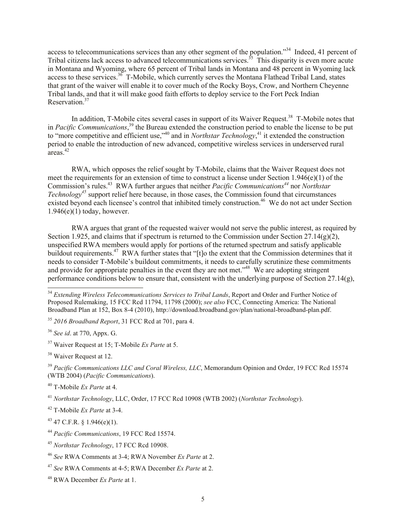access to telecommunications services than any other segment of the population."<sup>34</sup> Indeed, 41 percent of Tribal citizens lack access to advanced telecommunications services.<sup>35</sup> This disparity is even more acute in Montana and Wyoming, where 65 percent of Tribal lands in Montana and 48 percent in Wyoming lack access to these services.<sup>36</sup> T-Mobile, which currently serves the Montana Flathead Tribal Land, states that grant of the waiver will enable it to cover much of the Rocky Boys, Crow, and Northern Cheyenne Tribal lands, and that it will make good faith efforts to deploy service to the Fort Peck Indian Reservation.<sup>37</sup>

In addition, T-Mobile cites several cases in support of its Waiver Request.<sup>38</sup> T-Mobile notes that in *Pacific Communications*, <sup>39</sup> the Bureau extended the construction period to enable the license to be put to "more competitive and efficient use,"<sup>40</sup> and in *Northstar Technology*,<sup>41</sup> it extended the construction period to enable the introduction of new advanced, competitive wireless services in underserved rural areas. 42

RWA, which opposes the relief sought by T-Mobile, claims that the Waiver Request does not meet the requirements for an extension of time to construct a license under Section 1.946(e)(1) of the Commission's rules. 43 RWA further argues that neither *Pacific Communications<sup>44</sup>* nor *Northstar Technology<sup>45</sup>* support relief here because, in those cases, the Commission found that circumstances existed beyond each licensee's control that inhibited timely construction.<sup>46</sup> We do not act under Section  $1.946(e)(1)$  today, however.

RWA argues that grant of the requested waiver would not serve the public interest, as required by Section 1.925, and claims that if spectrum is returned to the Commission under Section 27.14(g)(2), unspecified RWA members would apply for portions of the returned spectrum and satisfy applicable buildout requirements.<sup>47</sup> RWA further states that "[t]o the extent that the Commission determines that it needs to consider T-Mobile's buildout commitments, it needs to carefully scrutinize these commitments and provide for appropriate penalties in the event they are not met."<sup>48</sup> We are adopting stringent performance conditions below to ensure that, consistent with the underlying purpose of Section  $27.14(g)$ ,

<sup>35</sup> *2016 Broadband Report*, 31 FCC Rcd at 701, para 4.

<sup>36</sup> *See id*. at 770, Appx. G.

 $\overline{a}$ 

<sup>37</sup> Waiver Request at 15; T-Mobile *Ex Parte* at 5.

<sup>38</sup> Waiver Request at 12.

<sup>42</sup> T-Mobile *Ex Parte* at 3-4.

 $43$  47 C.F.R. § 1.946(e)(1).

<sup>&</sup>lt;sup>34</sup> *Extending Wireless Telecommunications Services to Tribal Lands*, Report and Order and Further Notice of Proposed Rulemaking, 15 FCC Rcd 11794, 11798 (2000); *see also* FCC, Connecting America: The National Broadband Plan at 152, Box 8-4 (2010), http://download.broadband.gov/plan/national-broadband-plan.pdf.

<sup>39</sup> *Pacific Communications LLC and Coral Wireless, LLC*, Memorandum Opinion and Order, 19 FCC Rcd 15574 (WTB 2004) (*Pacific Communications*).

<sup>40</sup> T-Mobile *Ex Parte* at 4.

<sup>41</sup> *Northstar Technology*, LLC, Order, 17 FCC Rcd 10908 (WTB 2002) (*Northstar Technology*).

<sup>44</sup> *Pacific Communications*, 19 FCC Rcd 15574.

<sup>45</sup> *Northstar Technology*, 17 FCC Rcd 10908.

<sup>46</sup> *See* RWA Comments at 3-4; RWA November *Ex Parte* at 2.

<sup>47</sup> *See* RWA Comments at 4-5; RWA December *Ex Parte* at 2.

<sup>48</sup> RWA December *Ex Parte* at 1.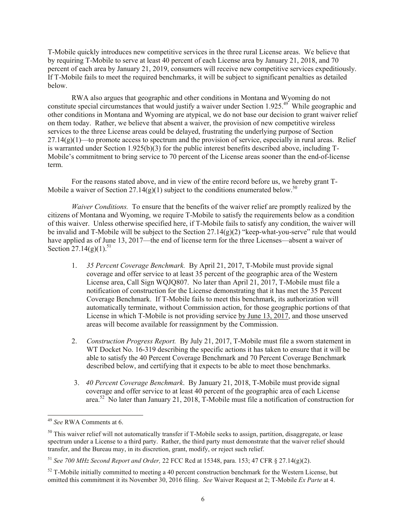T-Mobile quickly introduces new competitive services in the three rural License areas. We believe that by requiring T-Mobile to serve at least 40 percent of each License area by January 21, 2018, and 70 percent of each area by January 21, 2019, consumers will receive new competitive services expeditiously. If T-Mobile fails to meet the required benchmarks, it will be subject to significant penalties as detailed below.

RWA also argues that geographic and other conditions in Montana and Wyoming do not constitute special circumstances that would justify a waiver under Section 1.925.<sup>49</sup> While geographic and other conditions in Montana and Wyoming are atypical, we do not base our decision to grant waiver relief on them today. Rather, we believe that absent a waiver, the provision of new competitive wireless services to the three License areas could be delayed, frustrating the underlying purpose of Section 27.14(g)(1)—to promote access to spectrum and the provision of service, especially in rural areas.Relief is warranted under Section 1.925(b)(3) for the public interest benefits described above, including T-Mobile's commitment to bring service to 70 percent of the License areas sooner than the end-of-license term.

For the reasons stated above, and in view of the entire record before us, we hereby grant T-Mobile a waiver of Section 27.14(g)(1) subject to the conditions enumerated below.<sup>50</sup>

*Waiver Conditions.* To ensure that the benefits of the waiver relief are promptly realized by the citizens of Montana and Wyoming, we require T-Mobile to satisfy the requirements below as a condition of this waiver. Unless otherwise specified here, if T-Mobile fails to satisfy any condition, the waiver will be invalid and T-Mobile will be subject to the Section 27.14(g)(2) "keep-what-you-serve" rule that would have applied as of June 13, 2017—the end of license term for the three Licenses—absent a waiver of Section 27.14(g)(1).<sup>51</sup>

- 1. *35 Percent Coverage Benchmark.* By April 21, 2017, T-Mobile must provide signal coverage and offer service to at least 35 percent of the geographic area of the Western License area, Call Sign WQJQ807. No later than April 21, 2017, T-Mobile must file a notification of construction for the License demonstrating that it has met the 35 Percent Coverage Benchmark. If T-Mobile fails to meet this benchmark, its authorization will automatically terminate, without Commission action, for those geographic portions of that License in which T-Mobile is not providing service by June 13, 2017, and those unserved areas will become available for reassignment by the Commission.
- 2. *Construction Progress Report.* By July 21, 2017, T-Mobile must file a sworn statement in WT Docket No. 16-319 describing the specific actions it has taken to ensure that it will be able to satisfy the 40 Percent Coverage Benchmark and 70 Percent Coverage Benchmark described below, and certifying that it expects to be able to meet those benchmarks.
- 3. *40 Percent Coverage Benchmark*. By January 21, 2018, T-Mobile must provide signal coverage and offer service to at least 40 percent of the geographic area of each License area.<sup>52</sup> No later than January 21, 2018, T-Mobile must file a notification of construction for

 $\overline{a}$ 

<sup>49</sup> *See* RWA Comments at 6.

 $50$  This waiver relief will not automatically transfer if T-Mobile seeks to assign, partition, disaggregate, or lease spectrum under a License to a third party. Rather, the third party must demonstrate that the waiver relief should transfer, and the Bureau may, in its discretion, grant, modify, or reject such relief.

<sup>51</sup> *See 700 MHz Second Report and Order,* 22 FCC Rcd at 15348, para. 153; 47 CFR § 27.14(g)(2).

 $52$  T-Mobile initially committed to meeting a 40 percent construction benchmark for the Western License, but omitted this commitment it its November 30, 2016 filing. *See* Waiver Request at 2; T-Mobile *Ex Parte* at 4.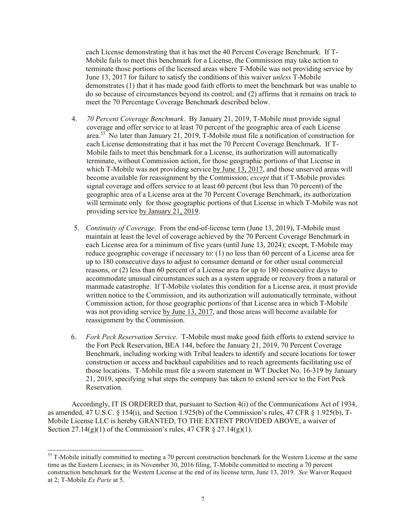each License demonstrating that it has met the 40 Percent Coverage Benchmark. If T-Mobile fails to meet this benchmark for a License, the Commission may take action to terminate those portions of the licensed areas where T-Mobile was not providing service by June 13, 2017 for failure to satisfy the conditions of this waiver *unless* T-Mobile demonstrates (1) that it has made good faith efforts to meet the benchmark but was unable to do so because of circumstances beyond its control; and (2) affirms that it remains on track to meet the 70 Percentage Coverage Benchmark described below.

- 4. *70 Percent Coverage Benchmark*. By January 21, 2019, T-Mobile must provide signal coverage and offer service to at least 70 percent of the geographic area of each License area.<sup>53</sup> No later than January 21, 2019, T-Mobile must file a notification of construction for each License demonstrating that it has met the 70 Percent Coverage Benchmark. If T-Mobile fails to meet this benchmark for a License, its authorization will automatically terminate, without Commission action, for those geographic portions of that License in which T-Mobile was not providing service by June 13, 2017, and those unserved areas will become available for reassignment by the Commission; *except* that if T-Mobile provides signal coverage and offers service to at least 60 percent (but less than 70 percent) of the geographic area of a License area at the 70 Percent Coverage Benchmark, its authorization will terminate only for those geographic portions of that License in which T-Mobile was not providing service by January 21, 2019.
- 5. *Continuity of Coverage*. From the end-of-license term (June 13, 2019), T-Mobile must maintain at least the level of coverage achieved by the 70 Percent Coverage Benchmark in each License area for a minimum of five years (until June 13, 2024); except, T-Mobile may reduce geographic coverage if necessary to: (1) no less than 60 percent of a License area for up to 180 consecutive days to adjust to consumer demand or for other usual commercial reasons, or (2) less than 60 percent of a License area for up to 180 consecutive days to accommodate unusual circumstances such as a system upgrade or recovery from a natural or manmade catastrophe. If T-Mobile violates this condition for a License area, it must provide written notice to the Commission, and its authorization will automatically terminate, without Commission action, for those geographic portions of that License area in which T-Mobile was not providing service by June 13, 2017, and those areas will become available for reassignment by the Commission.
- 6. *Fork Peck Reservation Service*. T-Mobile must make good faith efforts to extend service to the Fort Peck Reservation, BEA 144, before the January 21, 2019, 70 Percent Coverage Benchmark, including working with Tribal leaders to identify and secure locations for tower construction or access and backhaul capabilities and to reach agreements facilitating use of those locations. T-Mobile must file a sworn statement in WT Docket No. 16-319 by January 21, 2019, specifying what steps the company has taken to extend service to the Fort Peck Reservation.

Accordingly, IT IS ORDERED that, pursuant to Section 4(i) of the Communications Act of 1934, as amended, 47 U.S.C. § 154(i), and Section 1.925(b) of the Commission's rules, 47 CFR § 1.925(b), T-Mobile License LLC is hereby GRANTED, TO THE EXTENT PROVIDED ABOVE, a waiver of Section  $27.14(g)(1)$  of the Commission's rules, 47 CFR § 27.14(g)(1).

 $\overline{a}$ 

 $53$  T-Mobile initially committed to meeting a 70 percent construction benchmark for the Western License at the same time as the Eastern Licenses; in its November 30, 2016 filing, T-Mobile committed to meeting a 70 percent construction benchmark for the Western License at the end of its license term, June 13, 2019. *See* Waiver Request at 2; T-Mobile *Ex Parte* at 5.